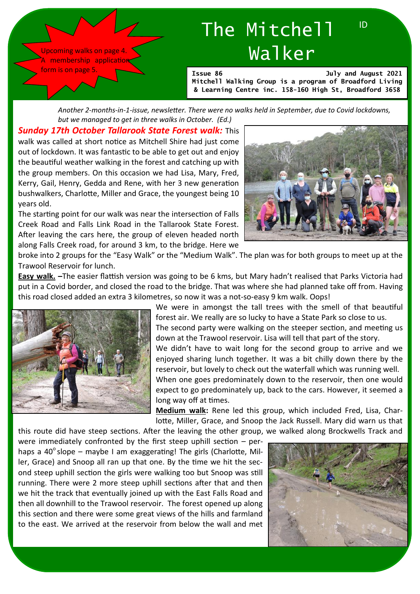Upcoming walks on page 4. A membership application form is on page 5

# The Mitchell Walker

**Issue 86 July and August 2021 Mitchell Walking Group is a program of Broadford Living & Learning Centre inc. 158-160 High St, Broadford 3658**

*Another 2-months-in-1-issue, newsletter. There were no walks held in September, due to Covid lockdowns, but we managed to get in three walks in October. (Ed.)*

*Sunday 17th October Tallarook State Forest walk:* This walk was called at short notice as Mitchell Shire had just come out of lockdown. It was fantastic to be able to get out and enjoy the beautiful weather walking in the forest and catching up with the group members. On this occasion we had Lisa, Mary, Fred, Kerry, Gail, Henry, Gedda and Rene, with her 3 new generation bushwalkers, Charlotte, Miller and Grace, the youngest being 10 years old.

The starting point for our walk was near the intersection of Falls Creek Road and Falls Link Road in the Tallarook State Forest. After leaving the cars here, the group of eleven headed north along Falls Creek road, for around 3 km, to the bridge. Here we



ID

broke into 2 groups for the "Easy Walk" or the "Medium Walk". The plan was for both groups to meet up at the Trawool Reservoir for lunch.

Easy walk. **–**The easier flattish version was going to be 6 kms, but Mary hadn't realised that Parks Victoria had put in a Covid border, and closed the road to the bridge. That was where she had planned take off from. Having this road closed added an extra 3 kilometres, so now it was a not-so-easy 9 km walk. Oops!



We were in amongst the tall trees with the smell of that beautiful forest air. We really are so lucky to have a State Park so close to us. The second party were walking on the steeper section, and meeting us down at the Trawool reservoir. Lisa will tell that part of the story. We didn't have to wait long for the second group to arrive and we enjoyed sharing lunch together. It was a bit chilly down there by the reservoir, but lovely to check out the waterfall which was running well. When one goes predominately down to the reservoir, then one would expect to go predominately up, back to the cars. However, it seemed a long way off at times.

**Medium walk:** Rene led this group, which included Fred, Lisa, Charlotte, Miller, Grace, and Snoop the Jack Russell. Mary did warn us that

this route did have steep sections. After the leaving the other group, we walked along Brockwells Track and

were immediately confronted by the first steep uphill section – perhaps a 40 $^{\circ}$  slope – maybe I am exaggerating! The girls (Charlotte, Miller, Grace) and Snoop all ran up that one. By the time we hit the second steep uphill section the girls were walking too but Snoop was still running. There were 2 more steep uphill sections after that and then we hit the track that eventually joined up with the East Falls Road and then all downhill to the Trawool reservoir. The forest opened up along this section and there were some great views of the hills and farmland to the east. We arrived at the reservoir from below the wall and met

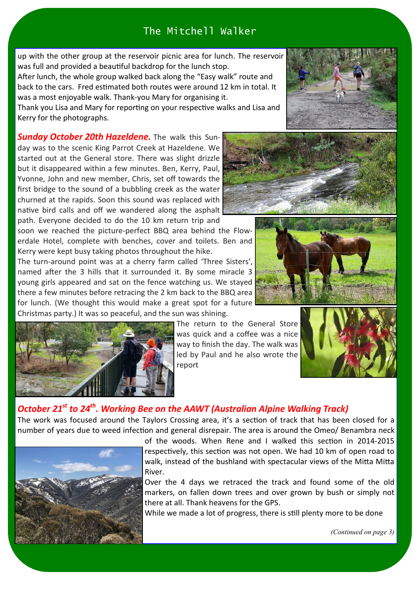up with the other group at the reservoir picnic area for lunch. The reservoir was full and provided a beautiful backdrop for the lunch stop.

After lunch, the whole group walked back along the "Easy walk" route and back to the cars. Fred estimated both routes were around 12 km in total. It was a most enjoyable walk. Thank-you Mary for organising it.

Thank you Lisa and Mary for reporting on your respective walks and Lisa and Kerry for the photographs.

*Sunday October 20th Hazeldene.* The walk this Sunday was to the scenic King Parrot Creek at Hazeldene. We started out at the General store. There was slight drizzle but it disappeared within a few minutes. Ben, Kerry, Paul, Yvonne, John and new member, Chris, set off towards the first bridge to the sound of a bubbling creek as the water churned at the rapids. Soon this sound was replaced with native bird calls and off we wandered along the asphalt path. Everyone decided to do the 10 km return trip and

soon we reached the picture-perfect BBQ area behind the Flowerdale Hotel, complete with benches, cover and toilets. Ben and Kerry were kept busy taking photos throughout the hike.

The turn-around point was at a cherry farm called 'Three Sisters', named after the 3 hills that it surrounded it. By some miracle 3 young girls appeared and sat on the fence watching us. We stayed there a few minutes before retracing the 2 km back to the BBQ area for lunch. (We thought this would make a great spot for a future Christmas party.) It was so peaceful, and the sun was shining.



The return to the General Store was quick and a coffee was a nice way to finish the day. The walk was led by Paul and he also wrote the report



## *October 21st to 24th. Working Bee on the AAWT (Australian Alpine Walking Track)*

The work was focused around the Taylors Crossing area, it's a section of track that has been closed for a number of years due to weed infection and general disrepair. The area is around the Omeo/ Benambra neck



of the woods. When Rene and I walked this section in 2014-2015 respectively, this section was not open. We had 10 km of open road to walk, instead of the bushland with spectacular views of the Mitta Mitta River.

Over the 4 days we retraced the track and found some of the old markers, on fallen down trees and over grown by bush or simply not there at all.Thank heavens for the GPS.

While we made a lot of progress, there is still plenty more to be done







*(Continued on page 3)*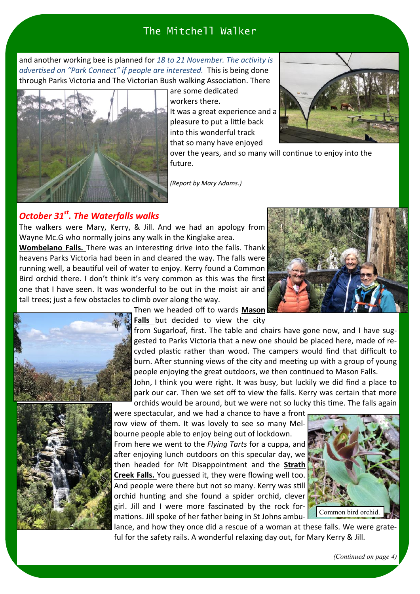and another working bee is planned for *18 to 21 November. The activity is advertised on "Park Connect" if people are interested.* This is being done through Parks Victoria and The Victorian Bush walking Association. There



are some dedicated workers there. It was a great experience and a pleasure to put a little back into this wonderful track that so many have enjoyed



over the years, and so many will continue to enjoy into the future.

*(Report by Mary Adams.)*

#### *October 31st. The Waterfalls walks*

The walkers were Mary, Kerry, & Jill. And we had an apology from Wayne Mc.G who normally joins any walk in the Kinglake area.

**Wombelano Falls.** There was an interesting drive into the falls. Thank heavens Parks Victoria had been in and cleared the way. The falls were running well, a beautiful veil of water to enjoy. Kerry found a Common Bird orchid there. I don't think it's very common as this was the first one that I have seen. It was wonderful to be out in the moist air and tall trees; just a few obstacles to climb over along the way.







Then we headed off to wards Mason **Falls** but decided to view the city

from Sugarloaf, first. The table and chairs have gone now, and I have suggested to Parks Victoria that a new one should be placed here, made of recycled plastic rather than wood. The campers would find that difficult to burn. After stunning views of the city and meeting up with a group of young people enjoying the great outdoors, we then continued to Mason Falls.

John, I think you were right. It was busy, but luckily we did find a place to park our car. Then we set off to view the falls. Kerry was certain that more orchids would be around, but we were not so lucky this time. The falls again

were spectacular, and we had a chance to have a front row view of them. It was lovely to see so many Melbourne people able to enjoy being out of lockdown. From here we went to the *Flying Tarts* for a cuppa, and after enjoying lunch outdoors on this specular day, we then headed for Mt Disappointment and the **Strath Creek Falls.** You guessed it, they were flowing well too. And people were there but not so many. Kerry was still orchid hunting and she found a spider orchid, clever girl. Jill and I were more fascinated by the rock formations. Jill spoke of her father being in St Johns ambu-



lance, and how they once did a rescue of a woman at these falls. We were grateful for the safety rails. A wonderful relaxing day out, for Mary Kerry & Jill.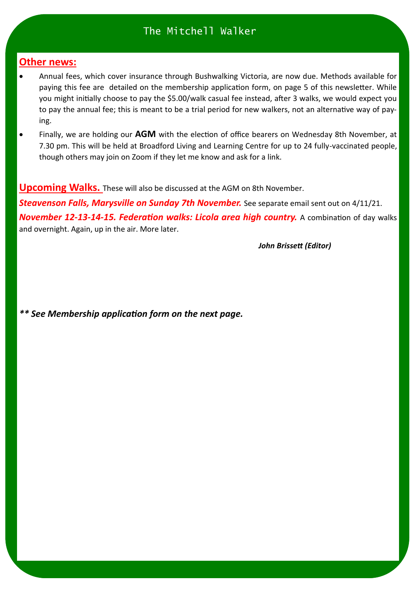### **Other news:**

- Annual fees, which cover insurance through Bushwalking Victoria, are now due. Methods available for paying this fee are detailed on the membership application form, on page 5 of this newsletter. While you might initially choose to pay the \$5.00/walk casual fee instead, after 3 walks, we would expect you to pay the annual fee; this is meant to be a trial period for new walkers, not an alternative way of paying.
- Finally, we are holding our AGM with the election of office bearers on Wednesday 8th November, at 7.30 pm. This will be held at Broadford Living and Learning Centre for up to 24 fully-vaccinated people, though others may join on Zoom if they let me know and ask for a link.

**Upcoming Walks.** These will also be discussed at the AGM on 8th November.

**Steavenson Falls, Marysville on Sunday 7th November.** See separate email sent out on 4/11/21. *November 12-13-14-15. Federation walks: Licola area high country.* **A combination of day walks** and overnight. Again, up in the air. More later.

*John Brissett (Editor)* 

*\*\* See Membership application form on the next page.*